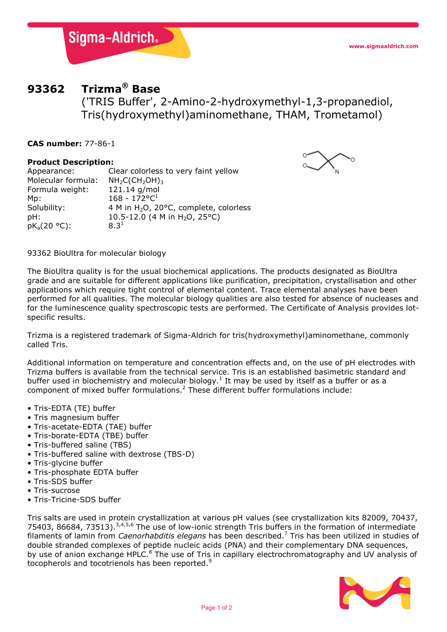

# **93362 Trizma® Base**

('TRIS Buffer', 2-Amino-2-hydroxymethyl-1,3-propanediol, Tris(hydroxymethyl)aminomethane, THAM, Trometamol)

**CAS number:** 77-86-1

### **Product Description:**

Appearance: Clear colorless to very faint yellow Molecular formula:  $NH_2C(CH_2OH)_3$ <br>Formula weight: 121.14 g/mol Formula weight: Mp: 168 - 172°C<sup>1</sup><br>Solubility: 4 M in H<sub>2</sub>O, 2 4 M in H<sub>2</sub>O, 20 $\degree$ C, complete, colorless pH:  $10.5-12.0$  (4 M in H<sub>2</sub>O, 25°C)<br>pK<sub>3</sub>(20 °C):  $8.3^1$  $pK_a(20 °C)$ :



93362 BioUltra for molecular biology

The BioUltra quality is for the usual biochemical applications. The products designated as BioUltra grade and are suitable for different applications like purification, precipitation, crystallisation and other applications which require tight control of elemental content. Trace elemental analyses have been performed for all qualities. The molecular biology qualities are also tested for absence of nucleases and for the luminescence quality spectroscopic tests are performed. The Certificate of Analysis provides lotspecific results.

Trizma is a registered trademark of Sigma-Aldrich for tris(hydroxymethyl)aminomethane, commonly called Tris.

Additional information on temperature and concentration effects and, on the use of pH electrodes with Trizma buffers is available from the technical service. Tris is an established basimetric standard and buffer used in biochemistry and molecular biology.<sup>1</sup> It may be used by itself as a buffer or as a component of mixed buffer formulations.<sup>2</sup> These different buffer formulations include:

- Tris-EDTA (TE) buffer
- Tris magnesium buffer
- Tris-acetate-EDTA (TAE) buffer
- Tris-borate-EDTA (TBE) buffer
- Tris-buffered saline (TBS)
- Tris-buffered saline with dextrose (TBS-D)
- Tris-glycine buffer
- Tris-phosphate EDTA buffer
- Tris-SDS buffer
- Tris-sucrose
- Tris-Tricine-SDS buffer

Tris salts are used in protein crystallization at various pH values (see crystallization kits 82009, 70437, 75403, 86684, 73513).<sup>3,4,5,6</sup> The use of low-ionic strength Tris buffers in the formation of intermediate filaments of lamin from *Caenorhabditis elegans* has been described.7 Tris has been utilized in studies of double stranded complexes of peptide nucleic acids (PNA) and their complementary DNA sequences, by use of anion exchange HPLC.<sup>8</sup> The use of Tris in capillary electrochromatography and UV analysis of tocopherols and tocotrienols has been reported.<sup>9</sup>